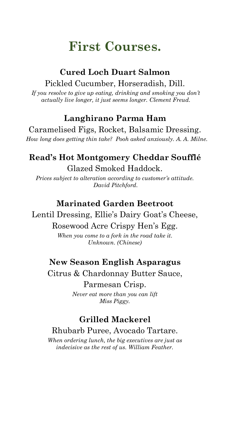# **First Courses.**

### **Cured Loch Duart Salmon** Pickled Cucumber, Horseradish, Dill.

*If you resolve to give up eating, drinking and smoking you don't actually live longer, it just seems longer. Clement Freud.*

### **Langhirano Parma Ham**

Caramelised Figs, Rocket, Balsamic Dressing. *How long does getting thin take? Pooh asked anxiously. A. A. Milne.*

### **Read's Hot Montgomery Cheddar Soufflé** Glazed Smoked Haddock.

*Prices subject to alteration according to customer's attitude. David Pitchford.*

### **Marinated Garden Beetroot**

Lentil Dressing, Ellie's Dairy Goat's Cheese,

#### Rosewood Acre Crispy Hen's Egg.

*When you come to a fork in the road take it. Unknown. (Chinese)*

### **New Season English Asparagus**

Citrus & Chardonnay Butter Sauce,

Parmesan Crisp. *Never eat more than you can lift Miss Piggy.*

## **Grilled Mackerel**

### Rhubarb Puree, Avocado Tartare.

*When ordering lunch, the big executives are just as indecisive as the rest of us. William Feather.*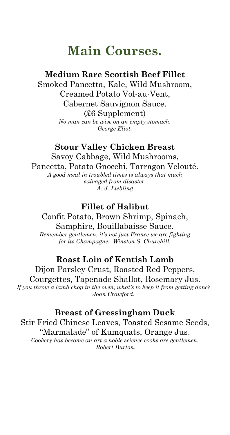# **Main Courses.**

### **Medium Rare Scottish Beef Fillet**

Smoked Pancetta, Kale, Wild Mushroom, Creamed Potato Vol-au-Vent, Cabernet Sauvignon Sauce. (£6 Supplement) *No man can be wise on an empty stomach.*

*George Eliot.*

### **Stour Valley Chicken Breast** Savoy Cabbage, Wild Mushrooms,

Pancetta, Potato Gnocchi, Tarragon Velouté.

*A good meal in troubled times is always that much salvaged from disaster. A. J. Liebling*

### **Fillet of Halibut**

Confit Potato, Brown Shrimp, Spinach, Samphire, Bouillabaisse Sauce. *Remember gentlemen, it's not just France we are fighting for its Champagne. Winston S. Churchill.* 

## **Roast Loin of Kentish Lamb**

Dijon Parsley Crust, Roasted Red Peppers, Courgettes, Tapenade Shallot, Rosemary Jus. *If you throw a lamb chop in the oven, what's to keep it from getting done? Joan Crawford.* 

### **Breast of Gressingham Duck**

Stir Fried Chinese Leaves, Toasted Sesame Seeds, "Marmalade" of Kumquats, Orange Jus. *Cookery has become an art a noble science cooks are gentlemen. Robert Burton.*